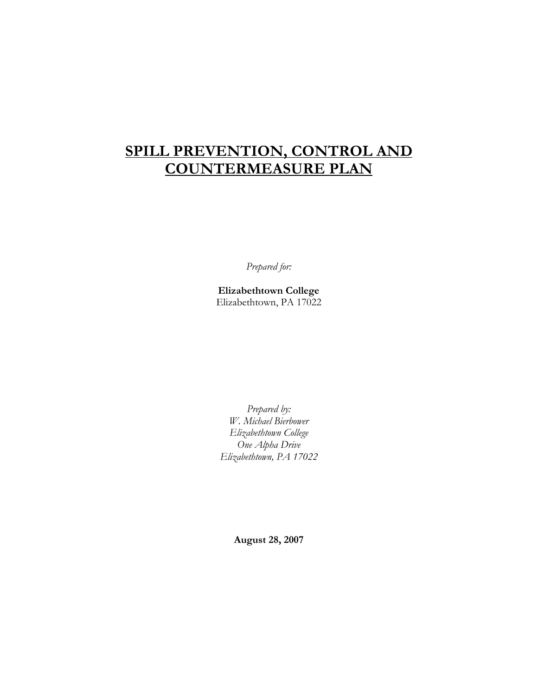## SPILL PREVENTION, CONTROL AND COUNTERMEASURE PLAN

Prepared for:

Elizabethtown College Elizabethtown, PA 17022

Prepared by: W. Michael Bierbower Elizabethtown College One Alpha Drive Elizabethtown, PA 17022

August 28, 2007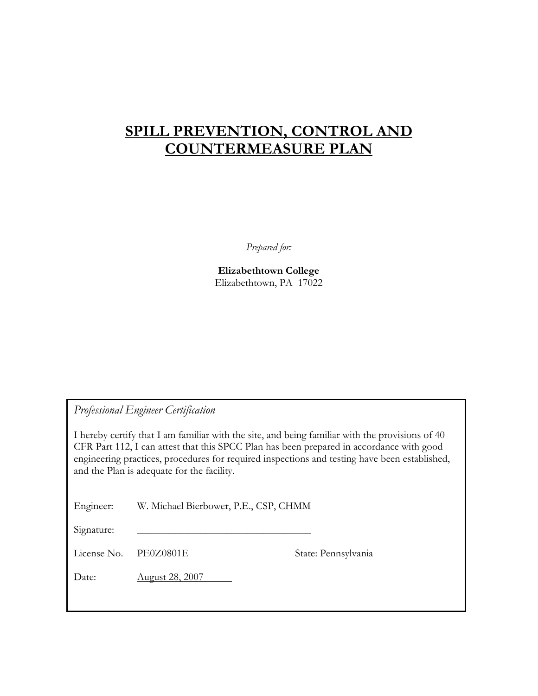## SPILL PREVENTION, CONTROL AND COUNTERMEASURE PLAN

Prepared for:

Elizabethtown College Elizabethtown, PA 17022

Professional Engineer Certification

I hereby certify that I am familiar with the site, and being familiar with the provisions of 40 CFR Part 112, I can attest that this SPCC Plan has been prepared in accordance with good engineering practices, procedures for required inspections and testing have been established, and the Plan is adequate for the facility.

Engineer: W. Michael Bierbower, P.E., CSP, CHMM

Signature:

License No. PE0Z0801E State: Pennsylvania

Date: **August 28, 2007**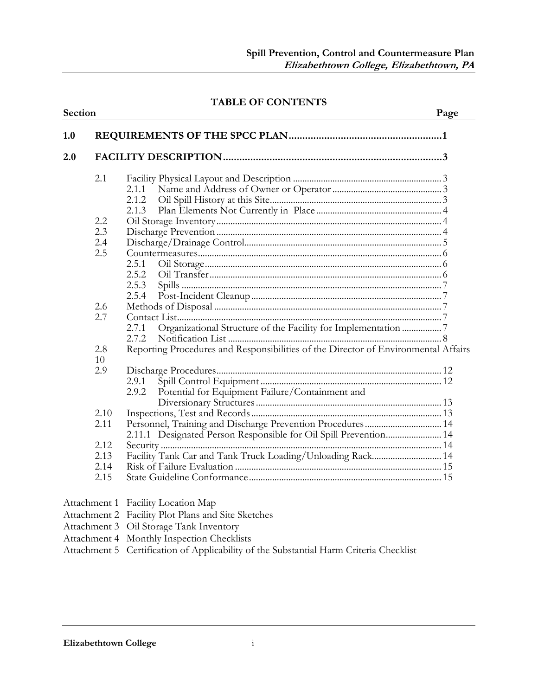### TABLE OF CONTENTS

| Section |                                                                                                                                                                                                                                                                                 | Page |
|---------|---------------------------------------------------------------------------------------------------------------------------------------------------------------------------------------------------------------------------------------------------------------------------------|------|
| 1.0     |                                                                                                                                                                                                                                                                                 |      |
| 2.0     |                                                                                                                                                                                                                                                                                 |      |
| 2.1     |                                                                                                                                                                                                                                                                                 |      |
|         |                                                                                                                                                                                                                                                                                 |      |
|         | 2.1.2                                                                                                                                                                                                                                                                           |      |
|         | 2.1.3                                                                                                                                                                                                                                                                           |      |
| 2.2     |                                                                                                                                                                                                                                                                                 |      |
| 2.3     |                                                                                                                                                                                                                                                                                 |      |
| 2.4     |                                                                                                                                                                                                                                                                                 |      |
| 2.5     |                                                                                                                                                                                                                                                                                 |      |
|         | 2.5.1                                                                                                                                                                                                                                                                           |      |
|         | 2.5.2                                                                                                                                                                                                                                                                           |      |
|         | 2.5.3                                                                                                                                                                                                                                                                           |      |
|         |                                                                                                                                                                                                                                                                                 |      |
| 2.6     |                                                                                                                                                                                                                                                                                 |      |
| 2.7     |                                                                                                                                                                                                                                                                                 |      |
|         | Organizational Structure of the Facility for Implementation 7<br>2.7.1                                                                                                                                                                                                          |      |
|         | 2.7.2                                                                                                                                                                                                                                                                           |      |
| 2.8     | Reporting Procedures and Responsibilities of the Director of Environmental Affairs                                                                                                                                                                                              |      |
| 10      |                                                                                                                                                                                                                                                                                 |      |
| 2.9     |                                                                                                                                                                                                                                                                                 |      |
|         | 2.9.1                                                                                                                                                                                                                                                                           |      |
|         | Potential for Equipment Failure/Containment and<br>2.9.2                                                                                                                                                                                                                        |      |
|         |                                                                                                                                                                                                                                                                                 |      |
| 2.10    |                                                                                                                                                                                                                                                                                 |      |
| 2.11    | Personnel, Training and Discharge Prevention Procedures 14                                                                                                                                                                                                                      |      |
|         | 2.11.1 Designated Person Responsible for Oil Spill Prevention 14                                                                                                                                                                                                                |      |
| 2.12    |                                                                                                                                                                                                                                                                                 |      |
| 2.13    | Facility Tank Car and Tank Truck Loading/Unloading Rack 14                                                                                                                                                                                                                      |      |
| 2.14    |                                                                                                                                                                                                                                                                                 |      |
| 2.15    |                                                                                                                                                                                                                                                                                 |      |
|         | Attachment 1 Facility Location Map                                                                                                                                                                                                                                              |      |
|         | Attachment 2 Facility Plot Plans and Site Sketches                                                                                                                                                                                                                              |      |
|         | Attachment 3 Oil Storage Tank Inventory                                                                                                                                                                                                                                         |      |
|         | Attachment 4 Monthly Inspection Checklists                                                                                                                                                                                                                                      |      |
|         | $\Lambda_{\text{tot}}$ 1 $\Lambda_{\text{eff}}$ $\sigma$ $\Lambda_{\text{eff}}$ $\sigma$ $\Lambda_{\text{eff}}$ $\sigma$ $\Lambda_{\text{eff}}$ $\sigma$ $\Lambda_{\text{eff}}$ $\Lambda_{\text{eff}}$ $\sigma$ $\Lambda_{\text{eff}}$ $\sigma$ $\Lambda_{\text{eff}}$ $\sigma$ |      |

#### Attachment 5 Certification of Applicability of the Substantial Harm Criteria Checklist

#### Elizabethtown College i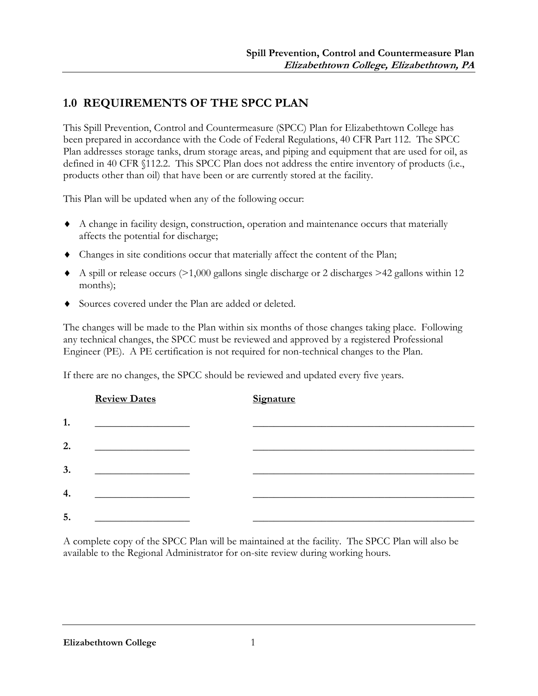## 1.0 REQUIREMENTS OF THE SPCC PLAN

This Spill Prevention, Control and Countermeasure (SPCC) Plan for Elizabethtown College has been prepared in accordance with the Code of Federal Regulations, 40 CFR Part 112. The SPCC Plan addresses storage tanks, drum storage areas, and piping and equipment that are used for oil, as defined in 40 CFR §112.2. This SPCC Plan does not address the entire inventory of products (i.e., products other than oil) that have been or are currently stored at the facility.

This Plan will be updated when any of the following occur:

- ♦ A change in facility design, construction, operation and maintenance occurs that materially affects the potential for discharge;
- ♦ Changes in site conditions occur that materially affect the content of the Plan;
- $\blacklozenge$  A spill or release occurs (>1,000 gallons single discharge or 2 discharges >42 gallons within 12 months);
- ♦ Sources covered under the Plan are added or deleted.

The changes will be made to the Plan within six months of those changes taking place. Following any technical changes, the SPCC must be reviewed and approved by a registered Professional Engineer (PE). A PE certification is not required for non-technical changes to the Plan.

If there are no changes, the SPCC should be reviewed and updated every five years.

|    | <b>Review Dates</b> | <b>Signature</b> |  |
|----|---------------------|------------------|--|
| 1. |                     |                  |  |
| 2. |                     |                  |  |
| 3. |                     |                  |  |
| 4. |                     |                  |  |
| 5. |                     |                  |  |

A complete copy of the SPCC Plan will be maintained at the facility. The SPCC Plan will also be available to the Regional Administrator for on-site review during working hours.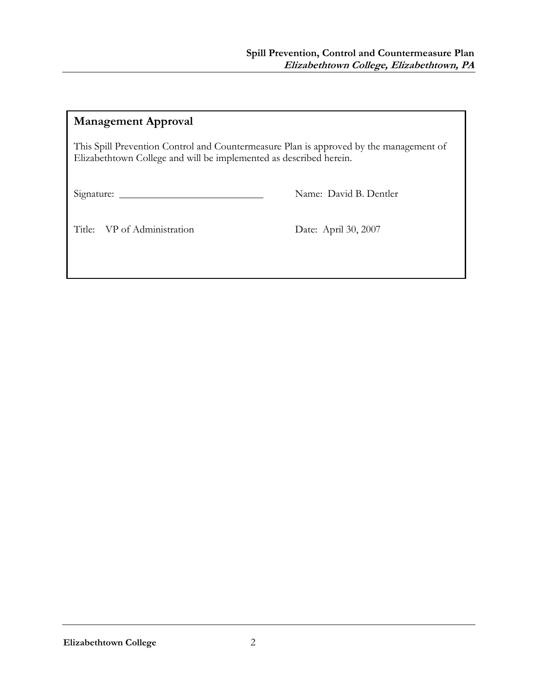## Management Approval

This Spill Prevention Control and Countermeasure Plan is approved by the management of Elizabethtown College and will be implemented as described herein.

Signature: Name: David B. Dentler

Title: VP of Administration Date: April 30, 2007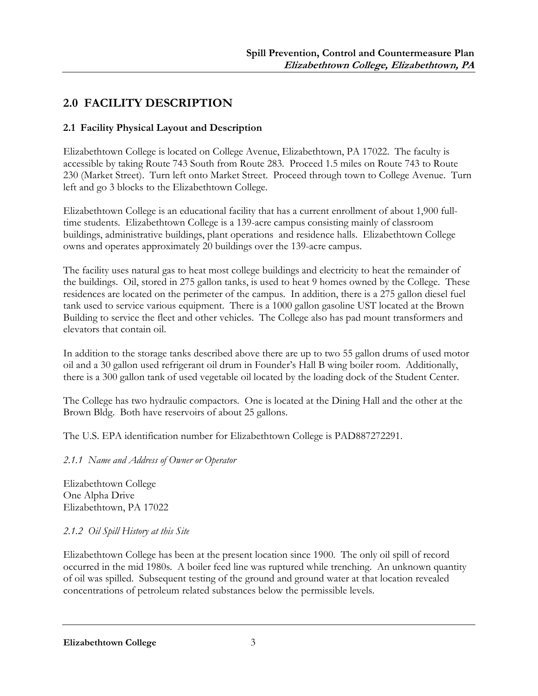## 2.0 FACILITY DESCRIPTION

## 2.1 Facility Physical Layout and Description

Elizabethtown College is located on College Avenue, Elizabethtown, PA 17022. The faculty is accessible by taking Route 743 South from Route 283. Proceed 1.5 miles on Route 743 to Route 230 (Market Street). Turn left onto Market Street. Proceed through town to College Avenue. Turn left and go 3 blocks to the Elizabethtown College.

Elizabethtown College is an educational facility that has a current enrollment of about 1,900 fulltime students. Elizabethtown College is a 139-acre campus consisting mainly of classroom buildings, administrative buildings, plant operations and residence halls. Elizabethtown College owns and operates approximately 20 buildings over the 139-acre campus.

The facility uses natural gas to heat most college buildings and electricity to heat the remainder of the buildings. Oil, stored in 275 gallon tanks, is used to heat 9 homes owned by the College. These residences are located on the perimeter of the campus. In addition, there is a 275 gallon diesel fuel tank used to service various equipment. There is a 1000 gallon gasoline UST located at the Brown Building to service the fleet and other vehicles. The College also has pad mount transformers and elevators that contain oil.

In addition to the storage tanks described above there are up to two 55 gallon drums of used motor oil and a 30 gallon used refrigerant oil drum in Founder's Hall B wing boiler room. Additionally, there is a 300 gallon tank of used vegetable oil located by the loading dock of the Student Center.

The College has two hydraulic compactors. One is located at the Dining Hall and the other at the Brown Bldg. Both have reservoirs of about 25 gallons.

The U.S. EPA identification number for Elizabethtown College is PAD887272291.

2.1.1 Name and Address of Owner or Operator

Elizabethtown College One Alpha Drive Elizabethtown, PA 17022

## 2.1.2 Oil Spill History at this Site

Elizabethtown College has been at the present location since 1900. The only oil spill of record occurred in the mid 1980s. A boiler feed line was ruptured while trenching. An unknown quantity of oil was spilled. Subsequent testing of the ground and ground water at that location revealed concentrations of petroleum related substances below the permissible levels.

Elizabethtown College 3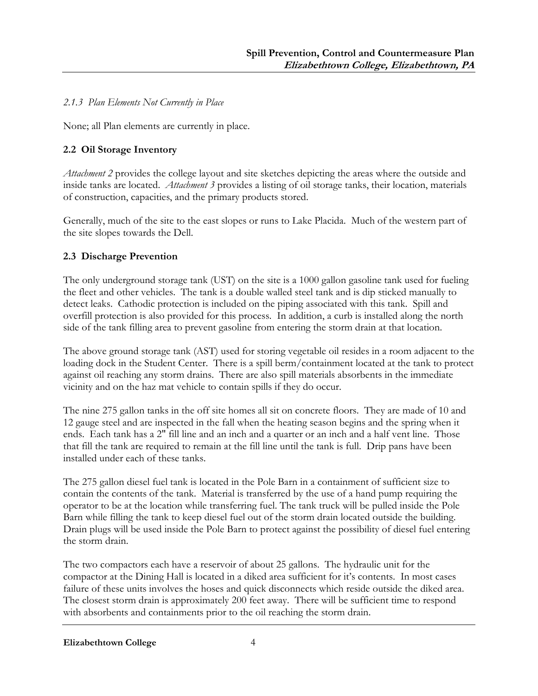## 2.1.3 Plan Elements Not Currently in Place

None; all Plan elements are currently in place.

## 2.2 Oil Storage Inventory

Attachment 2 provides the college layout and site sketches depicting the areas where the outside and inside tanks are located. Attachment 3 provides a listing of oil storage tanks, their location, materials of construction, capacities, and the primary products stored.

Generally, much of the site to the east slopes or runs to Lake Placida. Much of the western part of the site slopes towards the Dell.

## 2.3 Discharge Prevention

The only underground storage tank (UST) on the site is a 1000 gallon gasoline tank used for fueling the fleet and other vehicles. The tank is a double walled steel tank and is dip sticked manually to detect leaks. Cathodic protection is included on the piping associated with this tank. Spill and overfill protection is also provided for this process. In addition, a curb is installed along the north side of the tank filling area to prevent gasoline from entering the storm drain at that location.

The above ground storage tank (AST) used for storing vegetable oil resides in a room adjacent to the loading dock in the Student Center. There is a spill berm/containment located at the tank to protect against oil reaching any storm drains. There are also spill materials absorbents in the immediate vicinity and on the haz mat vehicle to contain spills if they do occur.

The nine 275 gallon tanks in the off site homes all sit on concrete floors. They are made of 10 and 12 gauge steel and are inspected in the fall when the heating season begins and the spring when it ends. Each tank has a 2" fill line and an inch and a quarter or an inch and a half vent line. Those that fill the tank are required to remain at the fill line until the tank is full. Drip pans have been installed under each of these tanks.

The 275 gallon diesel fuel tank is located in the Pole Barn in a containment of sufficient size to contain the contents of the tank. Material is transferred by the use of a hand pump requiring the operator to be at the location while transferring fuel. The tank truck will be pulled inside the Pole Barn while filling the tank to keep diesel fuel out of the storm drain located outside the building. Drain plugs will be used inside the Pole Barn to protect against the possibility of diesel fuel entering the storm drain.

The two compactors each have a reservoir of about 25 gallons. The hydraulic unit for the compactor at the Dining Hall is located in a diked area sufficient for it's contents. In most cases failure of these units involves the hoses and quick disconnects which reside outside the diked area. The closest storm drain is approximately 200 feet away. There will be sufficient time to respond with absorbents and containments prior to the oil reaching the storm drain.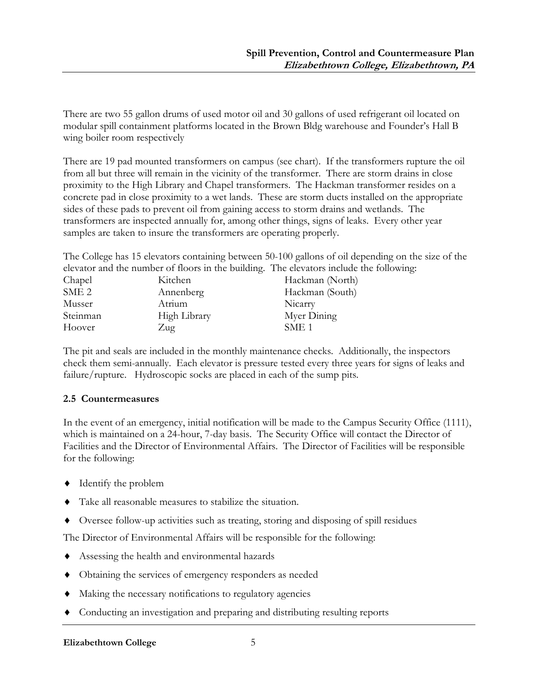There are two 55 gallon drums of used motor oil and 30 gallons of used refrigerant oil located on modular spill containment platforms located in the Brown Bldg warehouse and Founder's Hall B wing boiler room respectively

There are 19 pad mounted transformers on campus (see chart). If the transformers rupture the oil from all but three will remain in the vicinity of the transformer. There are storm drains in close proximity to the High Library and Chapel transformers. The Hackman transformer resides on a concrete pad in close proximity to a wet lands. These are storm ducts installed on the appropriate sides of these pads to prevent oil from gaining access to storm drains and wetlands. The transformers are inspected annually for, among other things, signs of leaks. Every other year samples are taken to insure the transformers are operating properly.

The College has 15 elevators containing between 50-100 gallons of oil depending on the size of the elevator and the number of floors in the building. The elevators include the following:

| Kitchen      | Hackman (North)  |
|--------------|------------------|
| Annenberg    | Hackman (South)  |
| Atrium       | Nicarry          |
| High Library | Myer Dining      |
| Zug          | SME <sub>1</sub> |
|              |                  |

The pit and seals are included in the monthly maintenance checks. Additionally, the inspectors check them semi-annually. Each elevator is pressure tested every three years for signs of leaks and failure/rupture. Hydroscopic socks are placed in each of the sump pits.

## 2.5 Countermeasures

In the event of an emergency, initial notification will be made to the Campus Security Office (1111), which is maintained on a 24-hour, 7-day basis. The Security Office will contact the Director of Facilities and the Director of Environmental Affairs. The Director of Facilities will be responsible for the following:

- ♦ Identify the problem
- ♦ Take all reasonable measures to stabilize the situation.
- ♦ Oversee follow-up activities such as treating, storing and disposing of spill residues

The Director of Environmental Affairs will be responsible for the following:

- ♦ Assessing the health and environmental hazards
- ♦ Obtaining the services of emergency responders as needed
- ♦ Making the necessary notifications to regulatory agencies
- ♦ Conducting an investigation and preparing and distributing resulting reports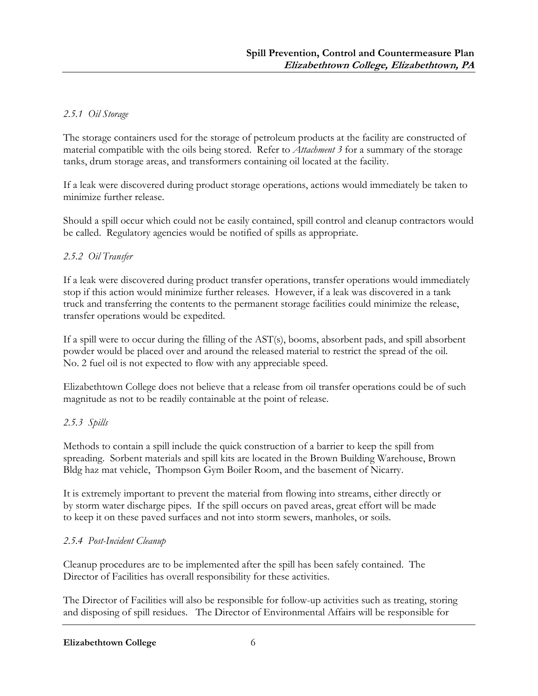### 2.5.1 Oil Storage

The storage containers used for the storage of petroleum products at the facility are constructed of material compatible with the oils being stored. Refer to Attachment 3 for a summary of the storage tanks, drum storage areas, and transformers containing oil located at the facility.

If a leak were discovered during product storage operations, actions would immediately be taken to minimize further release.

Should a spill occur which could not be easily contained, spill control and cleanup contractors would be called. Regulatory agencies would be notified of spills as appropriate.

#### 2.5.2 Oil Transfer

If a leak were discovered during product transfer operations, transfer operations would immediately stop if this action would minimize further releases. However, if a leak was discovered in a tank truck and transferring the contents to the permanent storage facilities could minimize the release, transfer operations would be expedited.

If a spill were to occur during the filling of the AST(s), booms, absorbent pads, and spill absorbent powder would be placed over and around the released material to restrict the spread of the oil. No. 2 fuel oil is not expected to flow with any appreciable speed.

Elizabethtown College does not believe that a release from oil transfer operations could be of such magnitude as not to be readily containable at the point of release.

#### 2.5.3 Spills

Methods to contain a spill include the quick construction of a barrier to keep the spill from spreading. Sorbent materials and spill kits are located in the Brown Building Warehouse, Brown Bldg haz mat vehicle, Thompson Gym Boiler Room, and the basement of Nicarry.

It is extremely important to prevent the material from flowing into streams, either directly or by storm water discharge pipes. If the spill occurs on paved areas, great effort will be made to keep it on these paved surfaces and not into storm sewers, manholes, or soils.

## 2.5.4 Post-Incident Cleanup

Cleanup procedures are to be implemented after the spill has been safely contained. The Director of Facilities has overall responsibility for these activities.

The Director of Facilities will also be responsible for follow-up activities such as treating, storing and disposing of spill residues. The Director of Environmental Affairs will be responsible for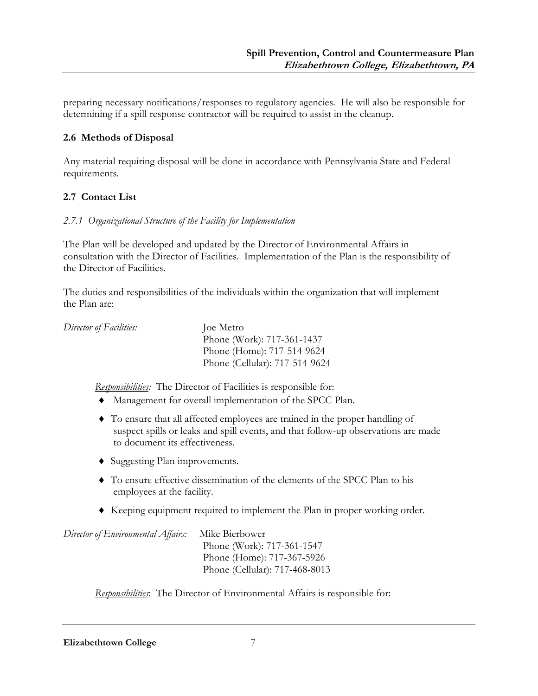preparing necessary notifications/responses to regulatory agencies. He will also be responsible for determining if a spill response contractor will be required to assist in the cleanup.

## 2.6 Methods of Disposal

Any material requiring disposal will be done in accordance with Pennsylvania State and Federal requirements.

## 2.7 Contact List

#### 2.7.1 Organizational Structure of the Facility for Implementation

The Plan will be developed and updated by the Director of Environmental Affairs in consultation with the Director of Facilities. Implementation of the Plan is the responsibility of the Director of Facilities.

The duties and responsibilities of the individuals within the organization that will implement the Plan are:

| Director of Facilities: | loe Metro                      |
|-------------------------|--------------------------------|
|                         | Phone (Work): 717-361-1437     |
|                         | Phone (Home): 717-514-9624     |
|                         | Phone (Cellular): 717-514-9624 |
|                         |                                |

Responsibilities: The Director of Facilities is responsible for:

- ♦ Management for overall implementation of the SPCC Plan.
- ♦ To ensure that all affected employees are trained in the proper handling of suspect spills or leaks and spill events, and that follow-up observations are made to document its effectiveness.
- ♦ Suggesting Plan improvements.
- ♦ To ensure effective dissemination of the elements of the SPCC Plan to his employees at the facility.
- ♦ Keeping equipment required to implement the Plan in proper working order.

```
Director of Environmental Affairs: Mike Bierbower
                                  Phone (Work): 717-361-1547 
                                  Phone (Home): 717-367-5926 
                                  Phone (Cellular): 717-468-8013
```
Responsibilities: The Director of Environmental Affairs is responsible for: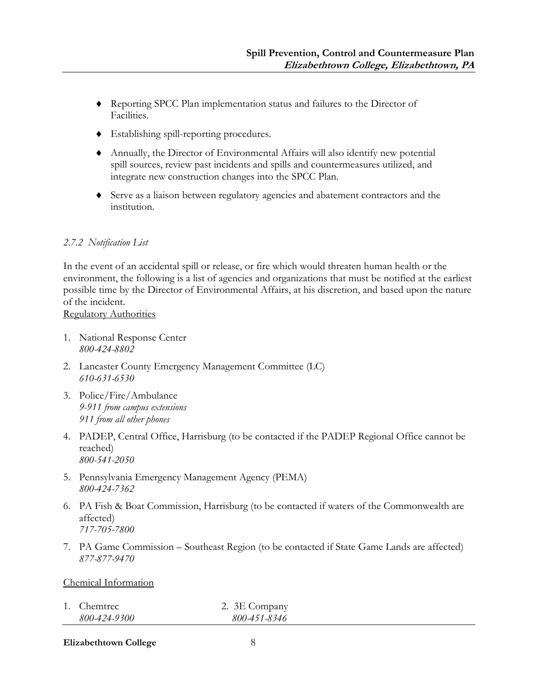- ♦ Reporting SPCC Plan implementation status and failures to the Director of Facilities.
- ♦ Establishing spill-reporting procedures.
- ♦ Annually, the Director of Environmental Affairs will also identify new potential spill sources, review past incidents and spills and countermeasures utilized, and integrate new construction changes into the SPCC Plan.
- ♦ Serve as a liaison between regulatory agencies and abatement contractors and the institution.

#### 2.7.2 Notification List

In the event of an accidental spill or release, or fire which would threaten human health or the environment, the following is a list of agencies and organizations that must be notified at the earliest possible time by the Director of Environmental Affairs, at his discretion, and based upon the nature of the incident.

Regulatory Authorities

- 1. National Response Center 800-424-8802
- 2. Lancaster County Emergency Management Committee (LC) 610-631-6530
- 3. Police/Fire/Ambulance 9-911 from campus extensions 911 from all other phones
- 4. PADEP, Central Office, Harrisburg (to be contacted if the PADEP Regional Office cannot be reached) 800-541-2050
- 5. Pennsylvania Emergency Management Agency (PEMA) 800-424-7362
- 6. PA Fish & Boat Commission, Harrisburg (to be contacted if waters of the Commonwealth are affected) 717-705-7800
- 7. PA Game Commission Southeast Region (to be contacted if State Game Lands are affected) 877-877-9470

#### Chemical Information

| 1. Chemtrec  | 2. 3E Company |
|--------------|---------------|
| 800-424-9300 | 800-451-8346  |

Elizabethtown College 8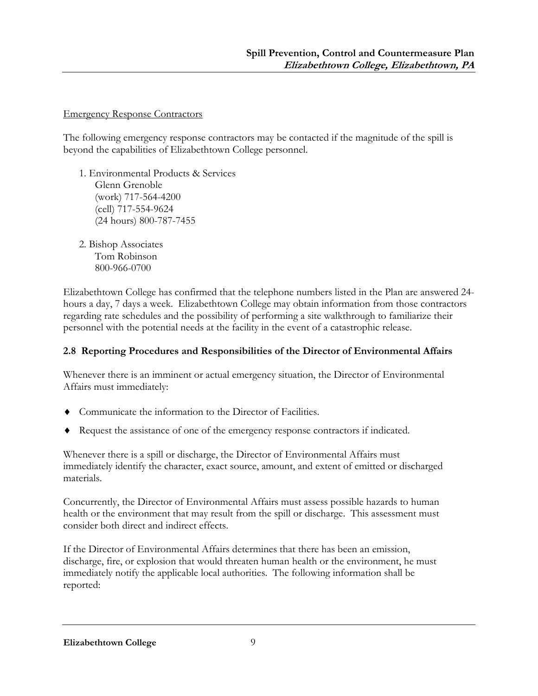#### Emergency Response Contractors

The following emergency response contractors may be contacted if the magnitude of the spill is beyond the capabilities of Elizabethtown College personnel.

- 1. Environmental Products & Services Glenn Grenoble (work) 717-564-4200 (cell) 717-554-9624 (24 hours) 800-787-7455
- 2. Bishop Associates Tom Robinson 800-966-0700

Elizabethtown College has confirmed that the telephone numbers listed in the Plan are answered 24 hours a day, 7 days a week. Elizabethtown College may obtain information from those contractors regarding rate schedules and the possibility of performing a site walkthrough to familiarize their personnel with the potential needs at the facility in the event of a catastrophic release.

## 2.8 Reporting Procedures and Responsibilities of the Director of Environmental Affairs

Whenever there is an imminent or actual emergency situation, the Director of Environmental Affairs must immediately:

- ♦ Communicate the information to the Director of Facilities.
- ♦ Request the assistance of one of the emergency response contractors if indicated.

Whenever there is a spill or discharge, the Director of Environmental Affairs must immediately identify the character, exact source, amount, and extent of emitted or discharged materials.

Concurrently, the Director of Environmental Affairs must assess possible hazards to human health or the environment that may result from the spill or discharge. This assessment must consider both direct and indirect effects.

If the Director of Environmental Affairs determines that there has been an emission, discharge, fire, or explosion that would threaten human health or the environment, he must immediately notify the applicable local authorities. The following information shall be reported: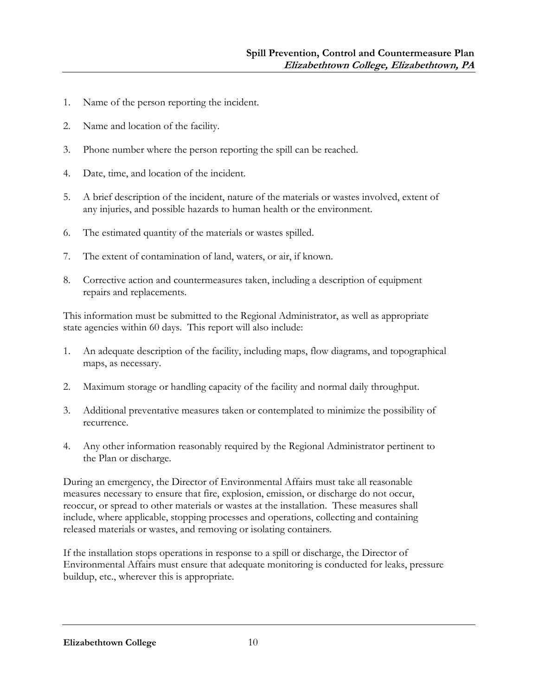- 1. Name of the person reporting the incident.
- 2. Name and location of the facility.
- 3. Phone number where the person reporting the spill can be reached.
- 4. Date, time, and location of the incident.
- 5. A brief description of the incident, nature of the materials or wastes involved, extent of any injuries, and possible hazards to human health or the environment.
- 6. The estimated quantity of the materials or wastes spilled.
- 7. The extent of contamination of land, waters, or air, if known.
- 8. Corrective action and countermeasures taken, including a description of equipment repairs and replacements.

This information must be submitted to the Regional Administrator, as well as appropriate state agencies within 60 days. This report will also include:

- 1. An adequate description of the facility, including maps, flow diagrams, and topographical maps, as necessary.
- 2. Maximum storage or handling capacity of the facility and normal daily throughput.
- 3. Additional preventative measures taken or contemplated to minimize the possibility of recurrence.
- 4. Any other information reasonably required by the Regional Administrator pertinent to the Plan or discharge.

During an emergency, the Director of Environmental Affairs must take all reasonable measures necessary to ensure that fire, explosion, emission, or discharge do not occur, reoccur, or spread to other materials or wastes at the installation. These measures shall include, where applicable, stopping processes and operations, collecting and containing released materials or wastes, and removing or isolating containers.

If the installation stops operations in response to a spill or discharge, the Director of Environmental Affairs must ensure that adequate monitoring is conducted for leaks, pressure buildup, etc., wherever this is appropriate.

Elizabethtown College 10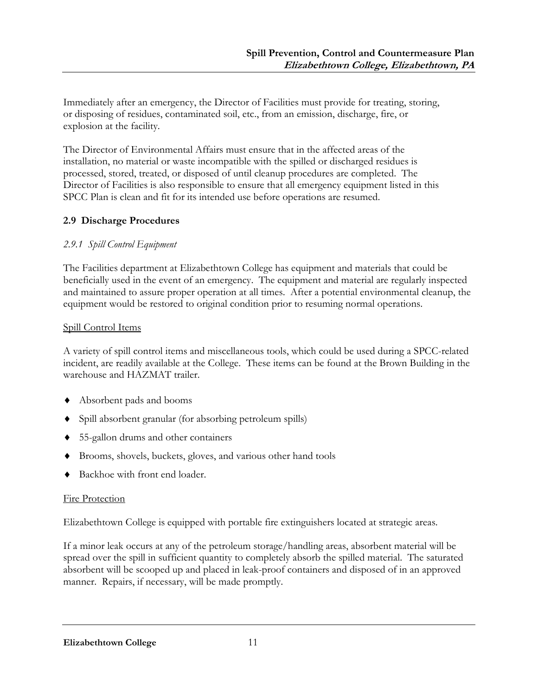Immediately after an emergency, the Director of Facilities must provide for treating, storing, or disposing of residues, contaminated soil, etc., from an emission, discharge, fire, or explosion at the facility.

The Director of Environmental Affairs must ensure that in the affected areas of the installation, no material or waste incompatible with the spilled or discharged residues is processed, stored, treated, or disposed of until cleanup procedures are completed. The Director of Facilities is also responsible to ensure that all emergency equipment listed in this SPCC Plan is clean and fit for its intended use before operations are resumed.

## 2.9 Discharge Procedures

## 2.9.1 Spill Control Equipment

The Facilities department at Elizabethtown College has equipment and materials that could be beneficially used in the event of an emergency. The equipment and material are regularly inspected and maintained to assure proper operation at all times. After a potential environmental cleanup, the equipment would be restored to original condition prior to resuming normal operations.

#### Spill Control Items

A variety of spill control items and miscellaneous tools, which could be used during a SPCC-related incident, are readily available at the College. These items can be found at the Brown Building in the warehouse and HAZMAT trailer.

- ♦ Absorbent pads and booms
- ♦ Spill absorbent granular (for absorbing petroleum spills)
- ♦ 55-gallon drums and other containers
- ♦ Brooms, shovels, buckets, gloves, and various other hand tools
- Backhoe with front end loader.

#### Fire Protection

Elizabethtown College is equipped with portable fire extinguishers located at strategic areas.

If a minor leak occurs at any of the petroleum storage/handling areas, absorbent material will be spread over the spill in sufficient quantity to completely absorb the spilled material. The saturated absorbent will be scooped up and placed in leak-proof containers and disposed of in an approved manner. Repairs, if necessary, will be made promptly.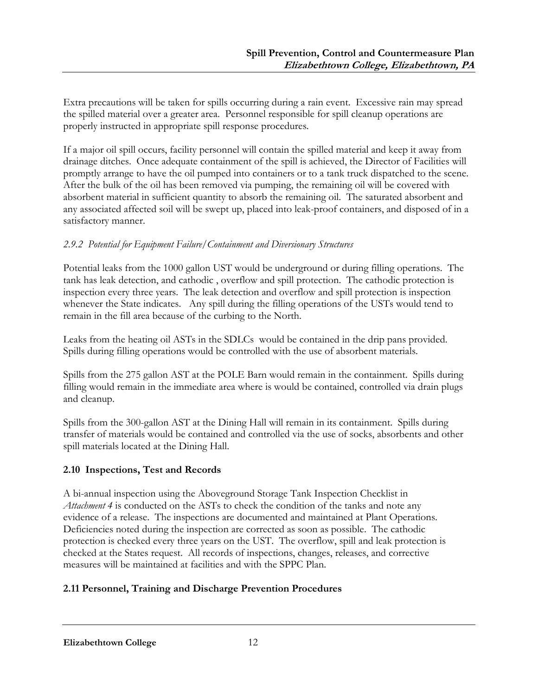Extra precautions will be taken for spills occurring during a rain event. Excessive rain may spread the spilled material over a greater area. Personnel responsible for spill cleanup operations are properly instructed in appropriate spill response procedures.

If a major oil spill occurs, facility personnel will contain the spilled material and keep it away from drainage ditches. Once adequate containment of the spill is achieved, the Director of Facilities will promptly arrange to have the oil pumped into containers or to a tank truck dispatched to the scene. After the bulk of the oil has been removed via pumping, the remaining oil will be covered with absorbent material in sufficient quantity to absorb the remaining oil. The saturated absorbent and any associated affected soil will be swept up, placed into leak-proof containers, and disposed of in a satisfactory manner.

## 2.9.2 Potential for Equipment Failure/Containment and Diversionary Structures

Potential leaks from the 1000 gallon UST would be underground or during filling operations. The tank has leak detection, and cathodic , overflow and spill protection. The cathodic protection is inspection every three years. The leak detection and overflow and spill protection is inspection whenever the State indicates. Any spill during the filling operations of the USTs would tend to remain in the fill area because of the curbing to the North.

Leaks from the heating oil ASTs in the SDLCs would be contained in the drip pans provided. Spills during filling operations would be controlled with the use of absorbent materials.

Spills from the 275 gallon AST at the POLE Barn would remain in the containment. Spills during filling would remain in the immediate area where is would be contained, controlled via drain plugs and cleanup.

Spills from the 300-gallon AST at the Dining Hall will remain in its containment. Spills during transfer of materials would be contained and controlled via the use of socks, absorbents and other spill materials located at the Dining Hall.

## 2.10 Inspections, Test and Records

A bi-annual inspection using the Aboveground Storage Tank Inspection Checklist in Attachment 4 is conducted on the ASTs to check the condition of the tanks and note any evidence of a release. The inspections are documented and maintained at Plant Operations. Deficiencies noted during the inspection are corrected as soon as possible. The cathodic protection is checked every three years on the UST. The overflow, spill and leak protection is checked at the States request. All records of inspections, changes, releases, and corrective measures will be maintained at facilities and with the SPPC Plan.

## 2.11 Personnel, Training and Discharge Prevention Procedures

Elizabethtown College 12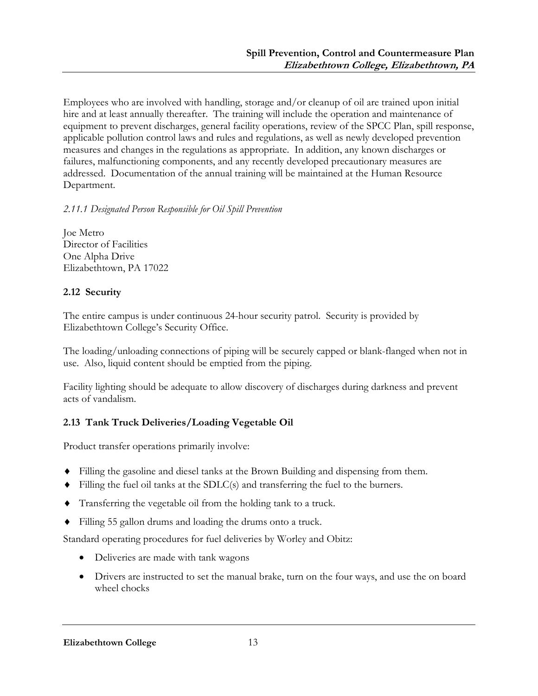Employees who are involved with handling, storage and/or cleanup of oil are trained upon initial hire and at least annually thereafter. The training will include the operation and maintenance of equipment to prevent discharges, general facility operations, review of the SPCC Plan, spill response, applicable pollution control laws and rules and regulations, as well as newly developed prevention measures and changes in the regulations as appropriate. In addition, any known discharges or failures, malfunctioning components, and any recently developed precautionary measures are addressed. Documentation of the annual training will be maintained at the Human Resource Department.

## 2.11.1 Designated Person Responsible for Oil Spill Prevention

Joe Metro Director of Facilities One Alpha Drive Elizabethtown, PA 17022

## 2.12 Security

The entire campus is under continuous 24-hour security patrol. Security is provided by Elizabethtown College's Security Office.

The loading/unloading connections of piping will be securely capped or blank-flanged when not in use. Also, liquid content should be emptied from the piping.

Facility lighting should be adequate to allow discovery of discharges during darkness and prevent acts of vandalism.

## 2.13 Tank Truck Deliveries/Loading Vegetable Oil

Product transfer operations primarily involve:

- ♦ Filling the gasoline and diesel tanks at the Brown Building and dispensing from them.
- $\blacklozenge$  Filling the fuel oil tanks at the SDLC(s) and transferring the fuel to the burners.
- ♦ Transferring the vegetable oil from the holding tank to a truck.
- ♦ Filling 55 gallon drums and loading the drums onto a truck.

Standard operating procedures for fuel deliveries by Worley and Obitz:

- Deliveries are made with tank wagons
- Drivers are instructed to set the manual brake, turn on the four ways, and use the on board wheel chocks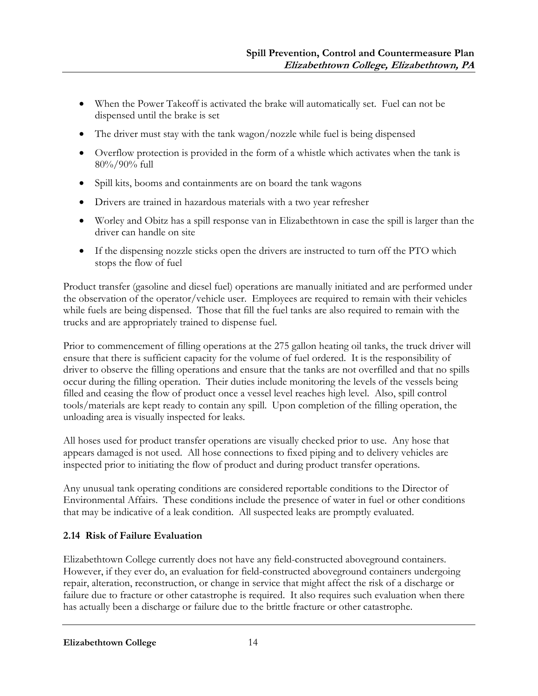- When the Power Takeoff is activated the brake will automatically set. Fuel can not be dispensed until the brake is set
- The driver must stay with the tank wagon/nozzle while fuel is being dispensed
- Overflow protection is provided in the form of a whistle which activates when the tank is 80%/90% full
- Spill kits, booms and containments are on board the tank wagons
- Drivers are trained in hazardous materials with a two year refresher
- Worley and Obitz has a spill response van in Elizabethtown in case the spill is larger than the driver can handle on site
- If the dispensing nozzle sticks open the drivers are instructed to turn off the PTO which stops the flow of fuel

Product transfer (gasoline and diesel fuel) operations are manually initiated and are performed under the observation of the operator/vehicle user. Employees are required to remain with their vehicles while fuels are being dispensed. Those that fill the fuel tanks are also required to remain with the trucks and are appropriately trained to dispense fuel.

Prior to commencement of filling operations at the 275 gallon heating oil tanks, the truck driver will ensure that there is sufficient capacity for the volume of fuel ordered. It is the responsibility of driver to observe the filling operations and ensure that the tanks are not overfilled and that no spills occur during the filling operation. Their duties include monitoring the levels of the vessels being filled and ceasing the flow of product once a vessel level reaches high level. Also, spill control tools/materials are kept ready to contain any spill. Upon completion of the filling operation, the unloading area is visually inspected for leaks.

All hoses used for product transfer operations are visually checked prior to use. Any hose that appears damaged is not used. All hose connections to fixed piping and to delivery vehicles are inspected prior to initiating the flow of product and during product transfer operations.

Any unusual tank operating conditions are considered reportable conditions to the Director of Environmental Affairs. These conditions include the presence of water in fuel or other conditions that may be indicative of a leak condition. All suspected leaks are promptly evaluated.

## 2.14 Risk of Failure Evaluation

Elizabethtown College currently does not have any field-constructed aboveground containers. However, if they ever do, an evaluation for field-constructed aboveground containers undergoing repair, alteration, reconstruction, or change in service that might affect the risk of a discharge or failure due to fracture or other catastrophe is required. It also requires such evaluation when there has actually been a discharge or failure due to the brittle fracture or other catastrophe.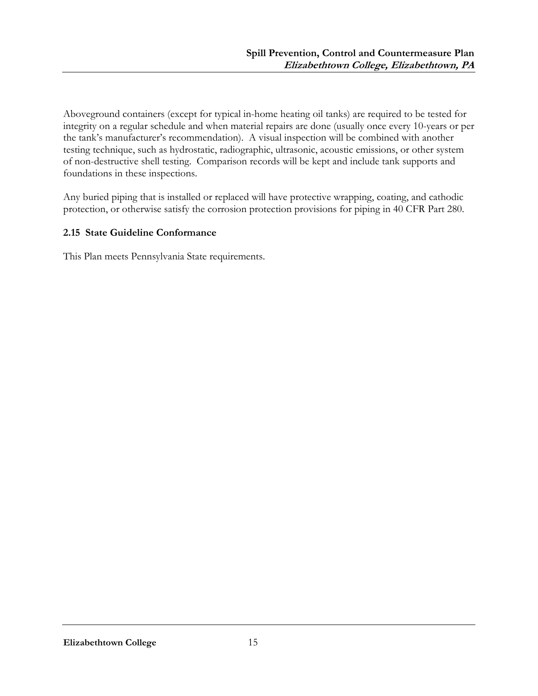Aboveground containers (except for typical in-home heating oil tanks) are required to be tested for integrity on a regular schedule and when material repairs are done (usually once every 10-years or per the tank's manufacturer's recommendation). A visual inspection will be combined with another testing technique, such as hydrostatic, radiographic, ultrasonic, acoustic emissions, or other system of non-destructive shell testing. Comparison records will be kept and include tank supports and foundations in these inspections.

Any buried piping that is installed or replaced will have protective wrapping, coating, and cathodic protection, or otherwise satisfy the corrosion protection provisions for piping in 40 CFR Part 280.

#### 2.15 State Guideline Conformance

This Plan meets Pennsylvania State requirements.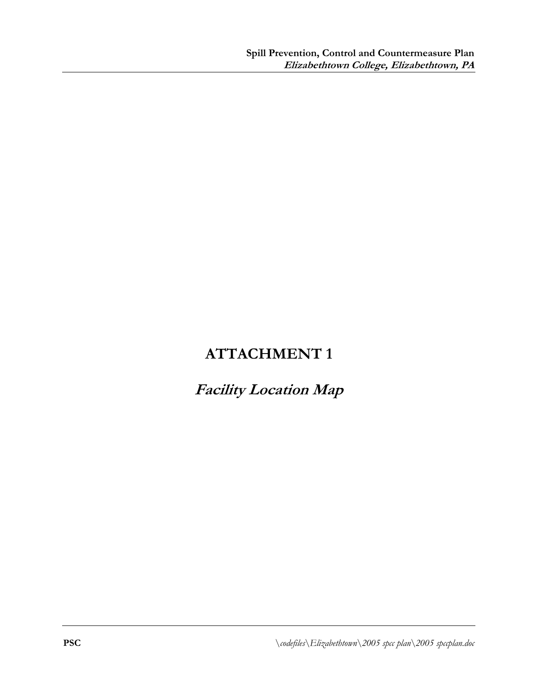## Facility Location Map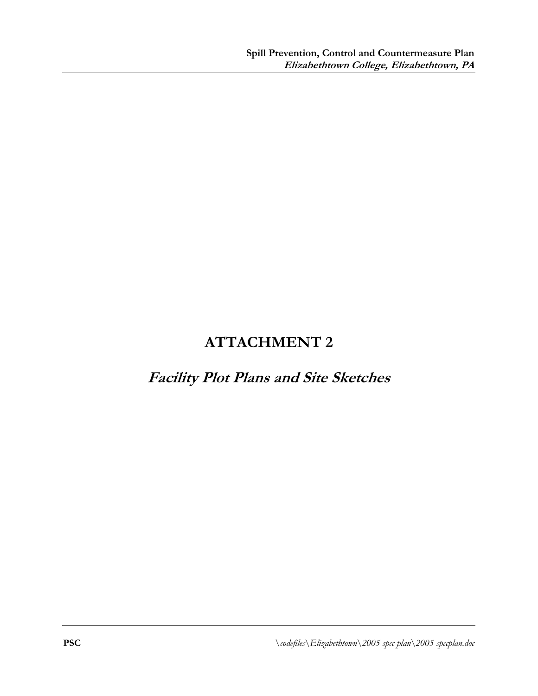## Facility Plot Plans and Site Sketches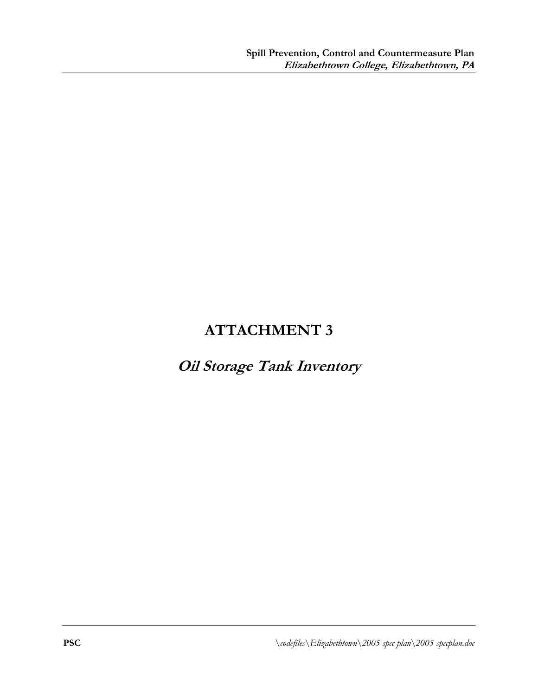# Oil Storage Tank Inventory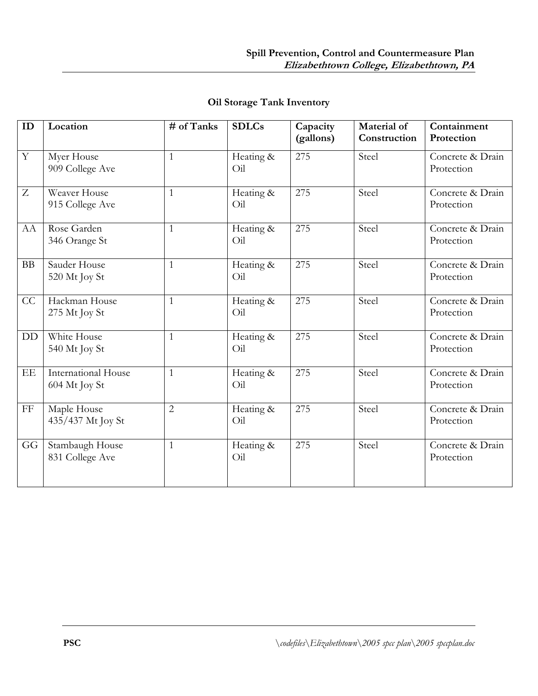| ID             | Location                                    | # of Tanks     | <b>SDLCs</b>          | Capacity<br>(gallons) | Material of<br>Construction | Containment<br>Protection      |
|----------------|---------------------------------------------|----------------|-----------------------|-----------------------|-----------------------------|--------------------------------|
| $\overline{Y}$ | Myer House<br>909 College Ave               | $\mathbf{1}$   | Heating &<br>$O_{11}$ | 275                   | Steel                       | Concrete & Drain<br>Protection |
| $\overline{Z}$ | Weaver House<br>915 College Ave             | $\mathbf{1}$   | Heating &<br>Oil      | 275                   | Steel                       | Concrete & Drain<br>Protection |
| AA             | Rose Garden<br>346 Orange St                | $\mathbf{1}$   | Heating &<br>Oil      | 275                   | Steel                       | Concrete & Drain<br>Protection |
| BB             | Sauder House<br>520 Mt Joy St               | $\mathbf{1}$   | Heating &<br>Oil      | 275                   | Steel                       | Concrete & Drain<br>Protection |
| CC             | Hackman House<br>275 Mt Joy St              | $\mathbf{1}$   | Heating &<br>Oil      | 275                   | Steel                       | Concrete & Drain<br>Protection |
| DD             | White House<br>540 Mt Joy St                | $\mathbf{1}$   | Heating &<br>Oil      | 275                   | Steel                       | Concrete & Drain<br>Protection |
| EE             | <b>International House</b><br>604 Mt Joy St | $\mathbf{1}$   | Heating &<br>Oil      | 275                   | Steel                       | Concrete & Drain<br>Protection |
| $\rm FF$       | Maple House<br>435/437 Mt Joy St            | $\overline{2}$ | Heating &<br>Oil      | 275                   | Steel                       | Concrete & Drain<br>Protection |
| GG             | Stambaugh House<br>831 College Ave          | $\mathbf{1}$   | Heating &<br>Oil      | 275                   | Steel                       | Concrete & Drain<br>Protection |

## Oil Storage Tank Inventory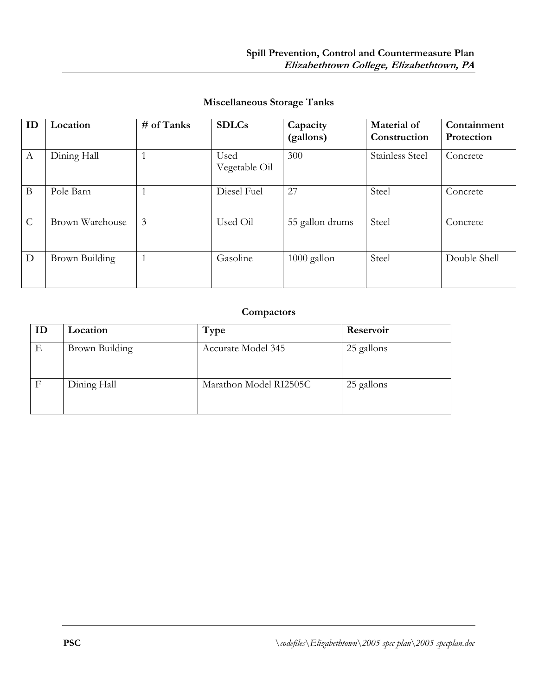| <b>Miscellaneous Storage Tanks</b> |  |  |
|------------------------------------|--|--|
|------------------------------------|--|--|

| ID            | Location        | $#$ of Tanks | <b>SDLCs</b>          | Capacity<br>(gallons) | Material of<br>Construction | Containment<br>Protection |
|---------------|-----------------|--------------|-----------------------|-----------------------|-----------------------------|---------------------------|
| A             | Dining Hall     |              | Used<br>Vegetable Oil | 300                   | <b>Stainless Steel</b>      | Concrete                  |
| B             | Pole Barn       |              | Diesel Fuel           | 27                    | Steel                       | Concrete                  |
| $\mathcal{C}$ | Brown Warehouse | 3            | Used Oil              | 55 gallon drums       | Steel                       | Concrete                  |
| D             | Brown Building  | 1            | Gasoline              | 1000 gallon           | Steel                       | Double Shell              |

## **Compactors**

| ID | Location       | Type                   | Reservoir  |
|----|----------------|------------------------|------------|
| Ε  | Brown Building | Accurate Model 345     | 25 gallons |
| F  | Dining Hall    | Marathon Model RI2505C | 25 gallons |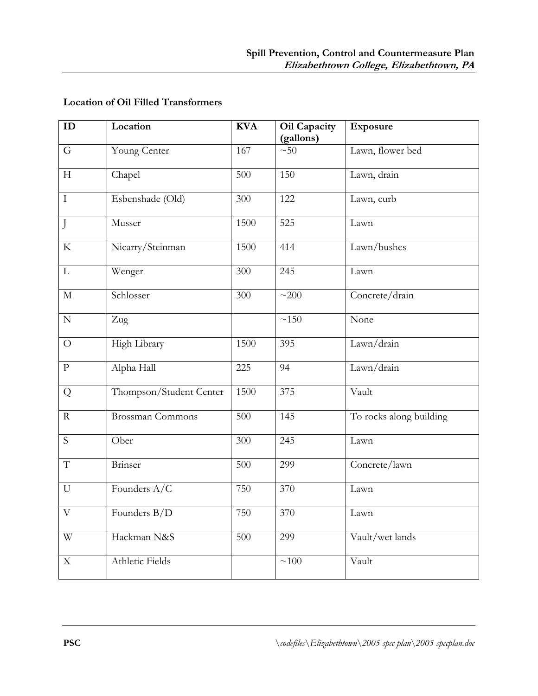## Location of Oil Filled Transformers

| ID                    | Location                | <b>KVA</b> | Oil Capacity | Exposure                |
|-----------------------|-------------------------|------------|--------------|-------------------------|
|                       |                         |            | (gallons)    |                         |
| G                     | Young Center            | 167        | $~1$ $~50$   | Lawn, flower bed        |
| H                     | Chapel                  | 500        | 150          | Lawn, drain             |
| $\mathbf I$           | Esbenshade (Old)        | 300        | 122          | Lawn, curb              |
| J                     | Musser                  | 1500       | 525          | Lawn                    |
| ${\bf K}$             | Nicarry/Steinman        | 1500       | 414          | Lawn/bushes             |
| $\mathbf{L}$          | Wenger                  | 300        | 245          | Lawn                    |
| $\mathbf M$           | Schlosser               | 300        | ~200         | Concrete/drain          |
| ${\bf N}$             | Zug                     |            | $\sim\!150$  | None                    |
| $\bigcirc$            | High Library            | 1500       | 395          | Lawn/drain              |
| $\mathbf{p}$          | Alpha Hall              | 225        | 94           | Lawn/drain              |
| Q                     | Thompson/Student Center | 1500       | 375          | Vault                   |
| $\mathbf R$           | <b>Brossman Commons</b> | 500        | 145          | To rocks along building |
| S                     | Ober                    | 300        | 245          | Lawn                    |
| $\mathbf T$           | Brinser                 | 500        | 299          | Concrete/lawn           |
| U                     | Founders A/C            | 750        | 370          | Lawn                    |
| $\overline{\text{V}}$ | Founders B/D            | 750        | 370          | Lawn                    |
| W                     | Hackman N&S             | 500        | 299          | Vault/wet lands         |
| $\mathbf X$           | Athletic Fields         |            | ~100         | Vault                   |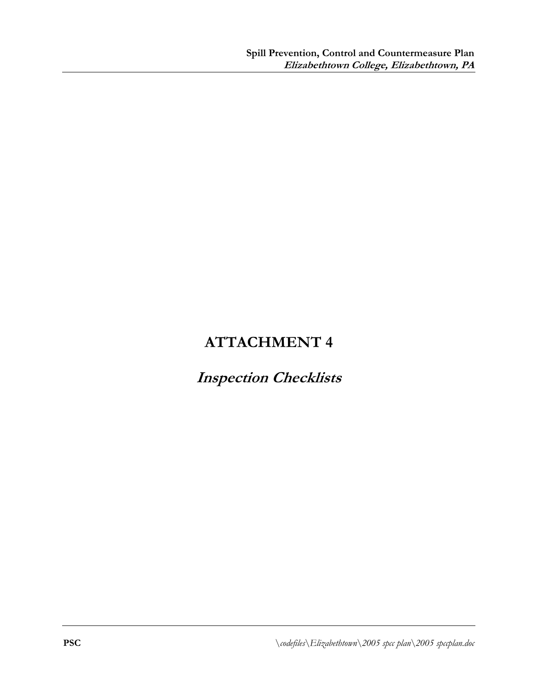## Inspection Checklists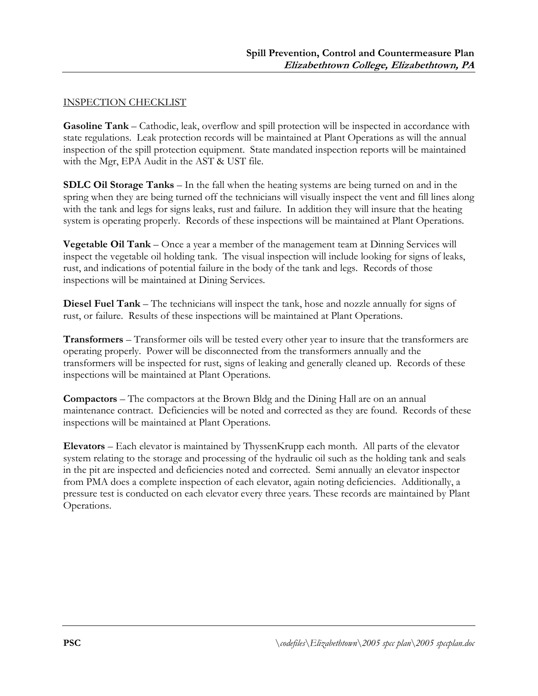#### INSPECTION CHECKLIST

Gasoline Tank – Cathodic, leak, overflow and spill protection will be inspected in accordance with state regulations. Leak protection records will be maintained at Plant Operations as will the annual inspection of the spill protection equipment. State mandated inspection reports will be maintained with the Mgr, EPA Audit in the AST & UST file.

SDLC Oil Storage Tanks – In the fall when the heating systems are being turned on and in the spring when they are being turned off the technicians will visually inspect the vent and fill lines along with the tank and legs for signs leaks, rust and failure. In addition they will insure that the heating system is operating properly. Records of these inspections will be maintained at Plant Operations.

Vegetable Oil Tank – Once a year a member of the management team at Dinning Services will inspect the vegetable oil holding tank. The visual inspection will include looking for signs of leaks, rust, and indications of potential failure in the body of the tank and legs. Records of those inspections will be maintained at Dining Services.

Diesel Fuel Tank – The technicians will inspect the tank, hose and nozzle annually for signs of rust, or failure. Results of these inspections will be maintained at Plant Operations.

Transformers – Transformer oils will be tested every other year to insure that the transformers are operating properly. Power will be disconnected from the transformers annually and the transformers will be inspected for rust, signs of leaking and generally cleaned up. Records of these inspections will be maintained at Plant Operations.

Compactors – The compactors at the Brown Bldg and the Dining Hall are on an annual maintenance contract. Deficiencies will be noted and corrected as they are found. Records of these inspections will be maintained at Plant Operations.

Elevators – Each elevator is maintained by ThyssenKrupp each month. All parts of the elevator system relating to the storage and processing of the hydraulic oil such as the holding tank and seals in the pit are inspected and deficiencies noted and corrected. Semi annually an elevator inspector from PMA does a complete inspection of each elevator, again noting deficiencies. Additionally, a pressure test is conducted on each elevator every three years. These records are maintained by Plant Operations.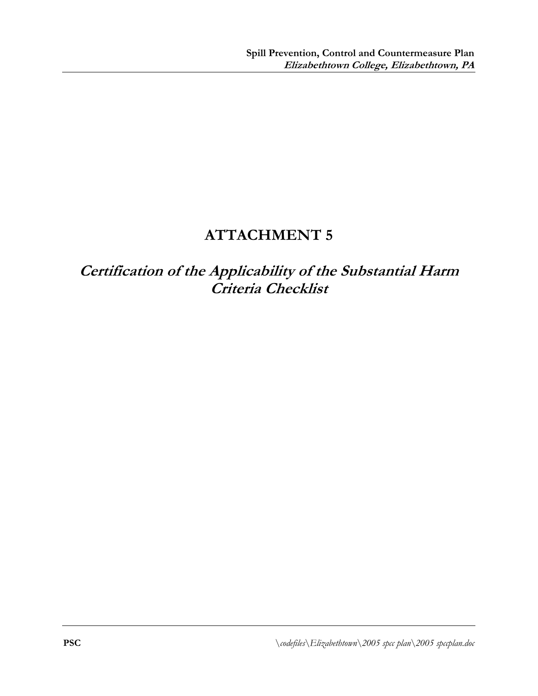Certification of the Applicability of the Substantial Harm Criteria Checklist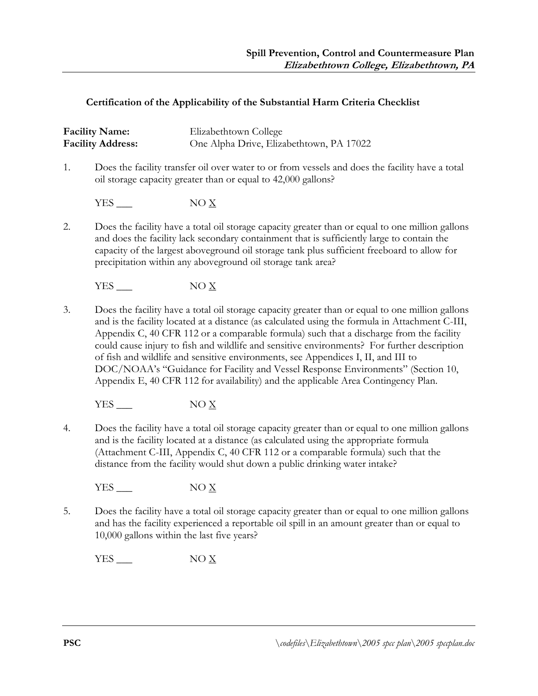#### Certification of the Applicability of the Substantial Harm Criteria Checklist

|    | <b>Facility Name:</b><br><b>Facility Address:</b> | Elizabethtown College<br>One Alpha Drive, Elizabethtown, PA 17022                                                                                                                                                                                                                                                                                                                             |
|----|---------------------------------------------------|-----------------------------------------------------------------------------------------------------------------------------------------------------------------------------------------------------------------------------------------------------------------------------------------------------------------------------------------------------------------------------------------------|
| 1. |                                                   | Does the facility transfer oil over water to or from vessels and does the facility have a total<br>oil storage capacity greater than or equal to 42,000 gallons?                                                                                                                                                                                                                              |
|    | $YES$ $\qquad$                                    | $NO \underline{X}$                                                                                                                                                                                                                                                                                                                                                                            |
| 2. |                                                   | Does the facility have a total oil storage capacity greater than or equal to one million gallons<br>and does the facility lack secondary containment that is sufficiently large to contain the<br>capacity of the largest aboveground oil storage tank plus sufficient freeboard to allow for<br>precipitation within any above ground oil storage tank area?                                 |
|    | YES                                               | NOX                                                                                                                                                                                                                                                                                                                                                                                           |
| 3. |                                                   | Does the facility have a total oil storage capacity greater than or equal to one million gallons<br>and is the facility located at a distance (as calculated using the formula in Attachment C-III,<br>Appendix C, 40 CFR 112 or a comparable formula) such that a discharge from the facility<br>could cause injury to fish and wildlife and sensitive environments? For further description |

of fish and wildlife and sensitive environments, see Appendices I, II, and III to DOC/NOAA's "Guidance for Facility and Vessel Response Environments" (Section 10, Appendix E, 40 CFR 112 for availability) and the applicable Area Contingency Plan.

 $YES$  NO  $\underline{X}$ 

4. Does the facility have a total oil storage capacity greater than or equal to one million gallons and is the facility located at a distance (as calculated using the appropriate formula (Attachment C-III, Appendix C, 40 CFR 112 or a comparable formula) such that the distance from the facility would shut down a public drinking water intake?

YES  $\_\_\_\$  NO  $\underline{X}$ 

5. Does the facility have a total oil storage capacity greater than or equal to one million gallons and has the facility experienced a reportable oil spill in an amount greater than or equal to 10,000 gallons within the last five years?

 $YES$  NO  $\underline{X}$